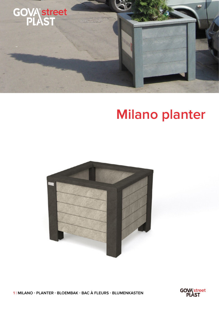

## **Milano planter**



1 | MILANO - PLANTER - BLOEMBAK - BAC À FLEURS - BLUMENKASTEN

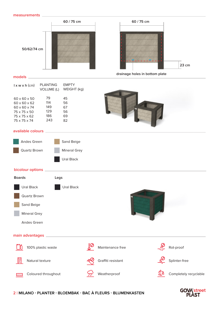



**60 / 75 cm**

## **models**

| PI ANTING<br>VOLUME (L) | EMPTY<br>WEIGHT (kg) |
|-------------------------|----------------------|
| 79                      | 45                   |
| 114                     | 56                   |
| 149                     | 67                   |
| 129                     | 56                   |
| 186                     | 69                   |
| 243                     | 82                   |
|                         |                      |



## **available colours**

| Andes Green  | Sand Beige          |
|--------------|---------------------|
| Quartz Brown | <b>Mineral Grey</b> |
|              | Ural Black          |

## **bicolour options**